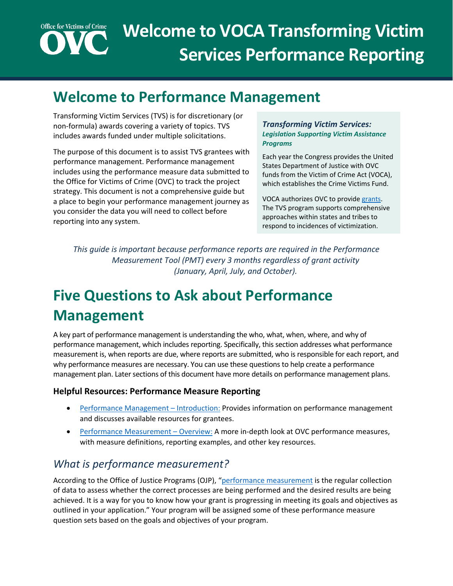# **Office for Victims of Crime Welcome to VOCA Transforming Victim Services Performance Reporting**

# **Welcome to Performance Management**

Transforming Victim Services (TVS) is for discretionary (or non-formula) awards covering a variety of topics. TVS includes awards funded under multiple solicitations.

The purpose of this document is to assist TVS grantees with performance management. Performance management includes using the performance measure data submitted to the Office for Victims of Crime (OVC) to track the project strategy. This document is not a comprehensive guide but a place to begin your performance management journey as you consider the data you will need to collect before reporting into any system.

#### *Transforming Victim Services: Legislation Supporting Victim Assistance Programs*

Each year the Congress provides the United States Department of Justice with OVC funds from the Victim of Crime Act (VOCA), which establishes the Crime Victims Fund.

VOCA authorizes OVC to provid[e grants.](https://www.congress.gov/bill/117th-congress/house-bill/1652) The TVS program supports comprehensive approaches within states and tribes to respond to incidences of victimization.

*This guide is important because performance reports are required in the Performance Measurement Tool (PMT) every 3 months regardless of grant activity (January, April, July, and October).*

# **Five Questions to Ask about Performance Management**

A key part of performance management is understanding the who, what, when, where, and why of performance management, which includes reporting. Specifically, this section addresses what performance measurement is, when reports are due, where reports are submitted, who is responsible for each report, and why performance measures are necessary. You can use these questions to help create a performance management plan. Later sections of this document have more details on performance management plans.

#### **Helpful Resources: Performance Measure Reporting**

- [Performance Management –](https://youtu.be/VeNyVwB1Sms) Introduction: Provides information on performance management and discusses available resources for grantees.
- [Performance Measurement –](https://youtu.be/q9XTyzMoI8Y) Overview: A more in-depth look at OVC performance measures, with measure definitions, reporting examples, and other key resources.

### *What is performance measurement?*

According to the Office of Justice Programs (OJP), ["performance measurement](https://www.ojp.gov/funding/apply/grant-performance-measurement-and-progress-reporting-information) is the regular collection of data to assess whether the correct processes are being performed and the desired results are being achieved. It is a way for you to know how your grant is progressing in meeting its goals and objectives as outlined in your application." Your program will be assigned some of these performance measure question sets based on the goals and objectives of your program.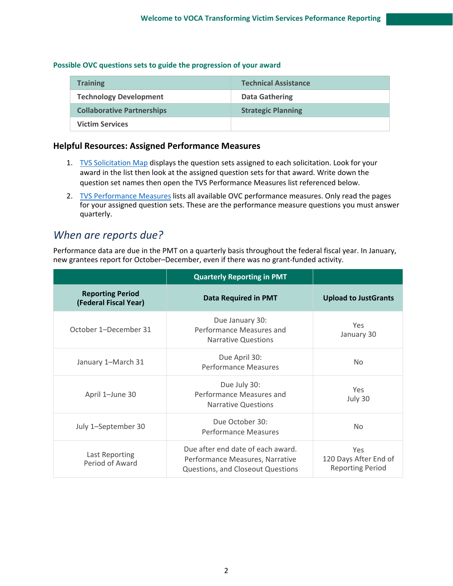#### **Possible OVC questions sets to guide the progression of your award**

| <b>Training</b>                   | <b>Technical Assistance</b> |
|-----------------------------------|-----------------------------|
| <b>Technology Development</b>     | <b>Data Gathering</b>       |
| <b>Collaborative Partnerships</b> | <b>Strategic Planning</b>   |
| <b>Victim Services</b>            |                             |

#### **Helpful Resources: Assigned Performance Measures**

- 1. [TVS Solicitation Map](https://ovc.ojp.gov/sites/g/files/xyckuh226/files/media/document/ovc-tvs-solicitation-map-2018-2020.pdf) displays the question sets assigned to each solicitation. Look for your award in the list then look at the assigned question sets for that award. Write down the question set names then open the TVS Performance Measures list referenced below.
- 2. [TVS Performance Measures](https://ovcpmt.ojp.gov/documents/TVS%20Questionnaire_Subgrantee%20Only%20Fillable%20PDF.pdf) lists all available OVC performance measures. Only read the pages for your assigned question sets. These are the performance measure questions you must answer quarterly.

### *When are reports due?*

Performance data are due in the PMT on a quarterly basis throughout the federal fiscal year. In January, new grantees report for October–December, even if there was no grant-funded activity.

|                                                  | <b>Quarterly Reporting in PMT</b>                                                                         |                                                         |  |
|--------------------------------------------------|-----------------------------------------------------------------------------------------------------------|---------------------------------------------------------|--|
| <b>Reporting Period</b><br>(Federal Fiscal Year) | <b>Data Required in PMT</b>                                                                               | <b>Upload to JustGrants</b>                             |  |
| October 1–December 31                            | Due January 30:<br>Performance Measures and<br><b>Narrative Questions</b>                                 | Yes<br>January 30                                       |  |
| January 1-March 31                               | Due April 30:<br><b>Performance Measures</b>                                                              | No.                                                     |  |
| April 1-June 30                                  | Due July 30:<br>Performance Measures and<br><b>Narrative Questions</b>                                    | <b>Yes</b><br>July 30                                   |  |
| July 1-September 30                              | Due October 30:<br><b>Performance Measures</b>                                                            | No                                                      |  |
| Last Reporting<br>Period of Award                | Due after end date of each award.<br>Performance Measures, Narrative<br>Questions, and Closeout Questions | Yes<br>120 Days After End of<br><b>Reporting Period</b> |  |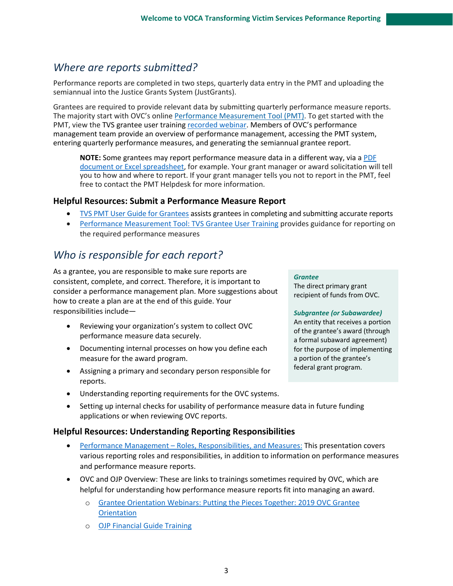### *Where are reports submitted?*

Performance reports are completed in two steps, quarterly data entry in the PMT and uploading the semiannual into the Justice Grants System (JustGrants).

Grantees are required to provide relevant data by submitting quarterly performance measure reports. The majority start with OVC's online [Performance Measurement Tool \(PMT\)](https://ovcpmt.ojp.gov/). To get started with the PMT, view the TVS grantee user trainin[g recorded webinar.](https://www.youtube.com/watch?v=fxAdHM6bXQk) Members of OVC's performance management team provide an overview of performance management, accessing the PMT system, entering quarterly performance measures, and generating the semiannual grantee report.

**NOTE:** Some grantees may report performance measure data in a different way, via a [PDF](https://ovc.ojp.gov/funding/performance-measures/reporting-performance-measures#76178)  [document or Excel](https://ovc.ojp.gov/funding/performance-measures/reporting-performance-measures#76178) spreadsheet, for example. Your grant manager or award solicitation will tell you to how and where to report. If your grant manager tells you not to report in the PMT, feel free to contact the PMT Helpdesk for more information.

#### **Helpful Resources: Submit a Performance Measure Report**

- TVS [PMT User Guide for Grantees](https://ovc.ojp.gov/sites/g/files/xyckuh226/files/media/document/tvs-performance-measurement-tool-user-guide.pdf) assists grantees in completing and submitting accurate reports
- [Performance Measurement Tool: TVS Grantee User Training](https://www.youtube.com/watch?v=fxAdHM6bXQk) provides guidance for reporting on the required performance measures

### *Who is responsible for each report?*

As a grantee, you are responsible to make sure reports are consistent, complete, and correct. Therefore, it is important to consider a performance management plan. More suggestions about how to create a plan are at the end of this guide. Your responsibilities include—

- Reviewing your organization's system to collect OVC performance measure data securely.
- Documenting internal processes on how you define each measure for the award program.
- Assigning a primary and secondary person responsible for reports.
- Understanding reporting requirements for the OVC systems.
- Setting up internal checks for usability of performance measure data in future funding applications or when reviewing OVC reports.

#### **Helpful Resources: Understanding Reporting Responsibilities**

- Performance Management [Roles, Responsibilities, and Measures:](https://youtu.be/g-1HxUzkiL8) This presentation covers various reporting roles and responsibilities, in addition to information on performance measures and performance measure reports.
- OVC and OJP Overview: These are links to trainings sometimes required by OVC, which are helpful for understanding how performance measure reports fit into managing an award.
	- o [Grantee Orientation Webinars: Putting the Pieces Together: 2019 OVC Grantee](https://ovc.ojp.gov/funding/managing-grants/grantee-orientation-webinars)  **[Orientation](https://ovc.ojp.gov/funding/managing-grants/grantee-orientation-webinars)**
	- o [OJP Financial Guide Training](https://www.ojp.gov/funding/financialguidedoj/overview)

#### *Grantee*

The direct primary grant recipient of funds from OVC.

#### *Subgrantee (or Subawardee)*

An entity that receives a portion of the grantee's award (through a formal subaward agreement) for the purpose of implementing a portion of the grantee's federal grant program.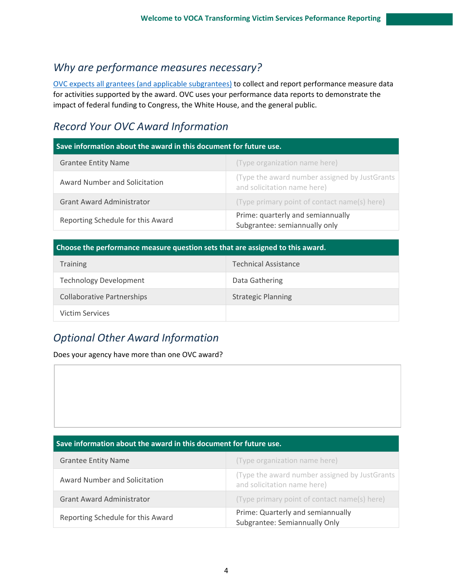### *Why are performance measures necessary?*

[OVC expects all grantees \(and applicable subgrantees\)](https://ovcpmt.ojp.gov/documents/Victim%20Assistance%20-%20Subgrantee%20Data%20Report%20-%20June%202017.pdf) to collect and report performance measure data for activities supported by the award. OVC uses your performance data reports to demonstrate the impact of federal funding to Congress, the White House, and the general public.

### *Record Your OVC Award Information*

| Save information about the award in this document for future use. |                                                                              |
|-------------------------------------------------------------------|------------------------------------------------------------------------------|
| <b>Grantee Entity Name</b>                                        | (Type organization name here)                                                |
| Award Number and Solicitation                                     | (Type the award number assigned by JustGrants<br>and solicitation name here) |
| <b>Grant Award Administrator</b>                                  | (Type primary point of contact name(s) here)                                 |
| Reporting Schedule for this Award                                 | Prime: quarterly and semiannually<br>Subgrantee: semiannually only           |

#### **Choose the performance measure question sets that are assigned to this award.**

| <b>Training</b>                   | <b>Technical Assistance</b> |
|-----------------------------------|-----------------------------|
| <b>Technology Development</b>     | Data Gathering              |
| <b>Collaborative Partnerships</b> | <b>Strategic Planning</b>   |
| <b>Victim Services</b>            |                             |

### *Optional Other Award Information*

Does your agency have more than one OVC award?

#### **Save information about the award in this document for future use.**

| Reporting Schedule for this Award | Prime: Quarterly and semiannually<br>Subgrantee: Semiannually Only           |
|-----------------------------------|------------------------------------------------------------------------------|
| <b>Grant Award Administrator</b>  | (Type primary point of contact name(s) here)                                 |
| Award Number and Solicitation     | (Type the award number assigned by JustGrants<br>and solicitation name here) |
| <b>Grantee Entity Name</b>        | (Type organization name here)                                                |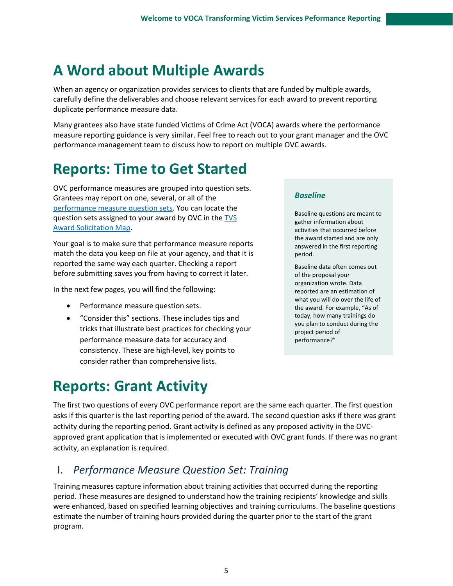# **A Word about Multiple Awards**

When an agency or organization provides services to clients that are funded by multiple awards, carefully define the deliverables and choose relevant services for each award to prevent reporting duplicate performance measure data.

Many grantees also have state funded Victims of Crime Act (VOCA) awards where the performance measure reporting guidance is very similar. Feel free to reach out to your grant manager and the OVC performance management team to discuss how to report on multiple OVC awards.

# **Reports: Time to Get Started**

OVC performance measures are grouped into question sets. Grantees may report on one, several, or all of the [performance measure question sets.](https://ovc.ojp.gov/sites/g/files/xyckuh226/files/media/document/tvs-performance-measures-questionnaire.pdf) You can locate the question sets assigned to your award by OVC in the [TVS](https://ovc.ojp.gov/sites/g/files/xyckuh226/files/media/document/ovc-tvs-solicitation-map-2018-2020.pdf)  [Award Solicitation Map.](https://ovc.ojp.gov/sites/g/files/xyckuh226/files/media/document/ovc-tvs-solicitation-map-2018-2020.pdf)

Your goal is to make sure that performance measure reports match the data you keep on file at your agency, and that it is reported the same way each quarter. Checking a report before submitting saves you from having to correct it later.

In the next few pages, you will find the following:

- Performance measure question sets.
- "Consider this" sections. These includes tips and tricks that illustrate best practices for checking your performance measure data for accuracy and consistency. These are high-level, key points to consider rather than comprehensive lists.

#### *Baseline*

Baseline questions are meant to gather information about activities that occurred before the award started and are only answered in the first reporting period.

Baseline data often comes out of the proposal your organization wrote. Data reported are an estimation of what you will do over the life of the award. For example, "As of today, how many trainings do you plan to conduct during the project period of performance?"

# **Reports: Grant Activity**

The first two questions of every OVC performance report are the same each quarter. The first question asks if this quarter is the last reporting period of the award. The second question asks if there was grant activity during the reporting period. Grant activity is defined as any proposed activity in the OVCapproved grant application that is implemented or executed with OVC grant funds. If there was no grant activity, an explanation is required.

### I. *Performance Measure Question Set: Training*

Training measures capture information about training activities that occurred during the reporting period. These measures are designed to understand how the training recipients' knowledge and skills were enhanced, based on specified learning objectives and training curriculums. The baseline questions estimate the number of training hours provided during the quarter prior to the start of the grant program.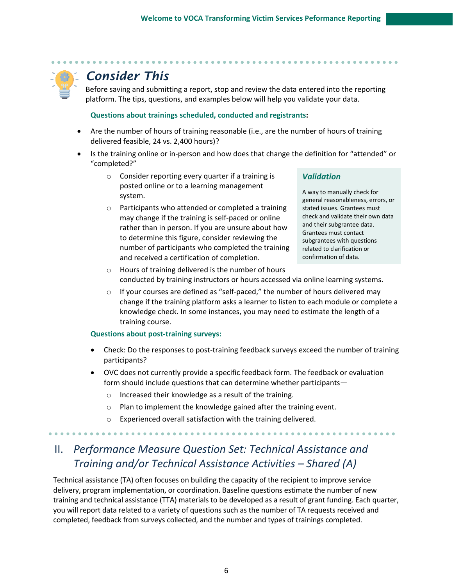

Before saving and submitting a report, stop and review the data entered into the reporting platform. The tips, questions, and examples below will help you validate your data.

#### **Questions about trainings scheduled, conducted and registrants:**

- Are the number of hours of training reasonable (i.e., are the number of hours of training delivered feasible, 24 vs. 2,400 hours)?
- Is the training online or in-person and how does that change the definition for "attended" or "completed?"
	- o Consider reporting every quarter if a training is posted online or to a learning management system.
	- o Participants who attended or completed a training may change if the training is self-paced or online rather than in person. If you are unsure about how to determine this figure, consider reviewing the number of participants who completed the training and received a certification of completion.

#### *Validation*

A way to manually check for general reasonableness, errors, or stated issues. Grantees must check and validate their own data and their subgrantee data. Grantees must contact subgrantees with questions related to clarification or confirmation of data.

- o Hours of training delivered is the number of hours conducted by training instructors or hours accessed via online learning systems.
- $\circ$  If your courses are defined as "self-paced," the number of hours delivered may change if the training platform asks a learner to listen to each module or complete a knowledge check. In some instances, you may need to estimate the length of a training course.

#### **Questions about post-training surveys:**

- Check: Do the responses to post-training feedback surveys exceed the number of training participants?
- OVC does not currently provide a specific feedback form. The feedback or evaluation form should include questions that can determine whether participants
	- o Increased their knowledge as a result of the training.
	- o Plan to implement the knowledge gained after the training event.
	- o Experienced overall satisfaction with the training delivered.

# II. *Performance Measure Question Set: Technical Assistance and Training and/or Technical Assistance Activities – Shared (A)*

Technical assistance (TA) often focuses on building the capacity of the recipient to improve service delivery, program implementation, or coordination. Baseline questions estimate the number of new training and technical assistance (TTA) materials to be developed as a result of grant funding. Each quarter, you will report data related to a variety of questions such as the number of TA requests received and completed, feedback from surveys collected, and the number and types of trainings completed.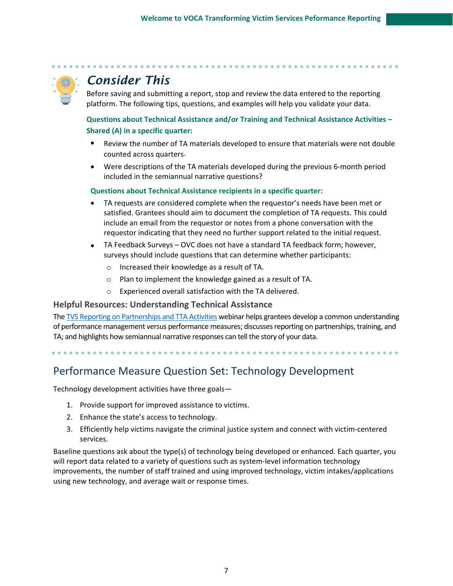

Before saving and submitting a report, stop and review the data entered to the reporting platform. The following tips, questions, and examples will help you validate your data.

#### **Questions about Technical Assistance and/or Training and Technical Assistance Activities – Shared (A) in a specific quarter:**

- Review the number of TA materials developed to ensure that materials were not double counted across quarters.
- Were descriptions of the TA materials developed during the previous 6-month period included in the semiannual narrative questions?

#### **Questions about Technical Assistance recipients in a specific quarter:**

- TA requests are considered complete when the requestor's needs have been met or satisfied. Grantees should aim to document the completion of TA requests. This could include an email from the requestor or notes from a phone conversation with the requestor indicating that they need no further support related to the initial request.
- TA Feedback Surveys OVC does not have a standard TA feedback form; however, surveys should include questions that can determine whether participants:
	- o Increased their knowledge as a result of TA.
	- o Plan to implement the knowledge gained as a result of TA.
	- o Experienced overall satisfaction with the TA delivered.

#### **Helpful Resources: Understanding Technical Assistance**

The [TVS Reporting on Partnerships and TTA Activities](https://www.youtube.com/watch?v=6qKhqN5D3jE) webinar helps grantees develop a common understanding of performance management versus performance measures; discusses reporting on partnerships, training, and TA; and highlights how semiannual narrative responses can tell the story of your data.

Performance Measure Question Set: Technology Development

Technology development activities have three goals—

- 1. Provide support for improved assistance to victims.
- 2. Enhance the state's access to technology.
- 3. Efficiently help victims navigate the criminal justice system and connect with victim-centered services.

Baseline questions ask about the type(s) of technology being developed or enhanced. Each quarter, you will report data related to a variety of questions such as system-level information technology improvements, the number of staff trained and using improved technology, victim intakes/applications using new technology, and average wait or response times.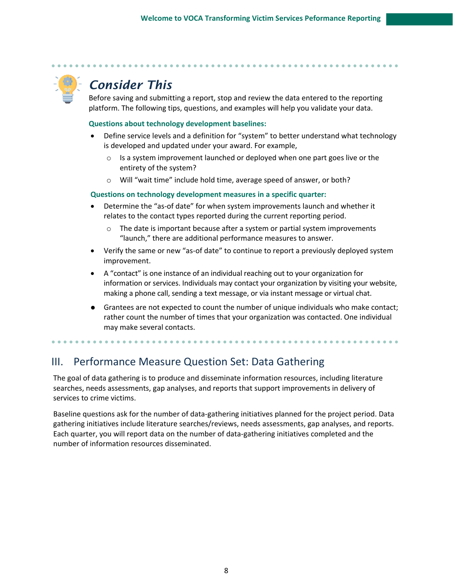

Before saving and submitting a report, stop and review the data entered to the reporting platform. The following tips, questions, and examples will help you validate your data.

#### **Questions about technology development baselines:**

- Define service levels and a definition for "system" to better understand what technology is developed and updated under your award. For example,
	- o Is a system improvement launched or deployed when one part goes live or the entirety of the system?
	- o Will "wait time" include hold time, average speed of answer, or both?

#### **Questions on technology development measures in a specific quarter:**

- Determine the "as-of date" for when system improvements launch and whether it relates to the contact types reported during the current reporting period.
	- $\circ$  The date is important because after a system or partial system improvements "launch," there are additional performance measures to answer.
- Verify the same or new "as-of date" to continue to report a previously deployed system improvement.
- A "contact" is one instance of an individual reaching out to your organization for information or services. Individuals may contact your organization by visiting your website, making a phone call, sending a text message, or via instant message or virtual chat.
- Grantees are not expected to count the number of unique individuals who make contact; rather count the number of times that your organization was contacted. One individual may make several contacts.

### III. Performance Measure Question Set: Data Gathering

The goal of data gathering is to produce and disseminate information resources, including literature searches, needs assessments, gap analyses, and reports that support improvements in delivery of services to crime victims.

Baseline questions ask for the number of data-gathering initiatives planned for the project period. Data gathering initiatives include literature searches/reviews, needs assessments, gap analyses, and reports. Each quarter, you will report data on the number of data-gathering initiatives completed and the number of information resources disseminated.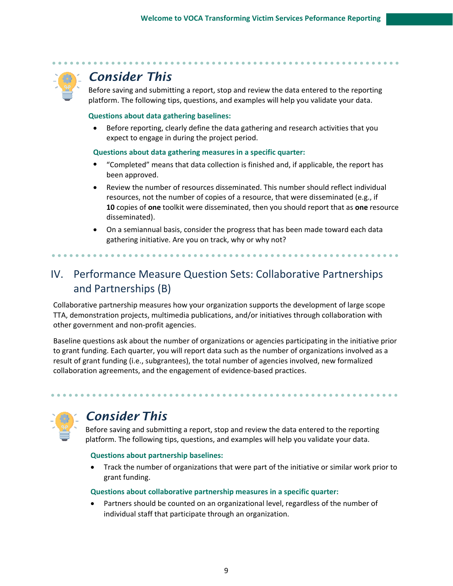

Before saving and submitting a report, stop and review the data entered to the reporting platform. The following tips, questions, and examples will help you validate your data.

#### **Questions about data gathering baselines:**

• Before reporting, clearly define the data gathering and research activities that you expect to engage in during the project period.

#### **Questions about data gathering measures in a specific quarter:**

- "Completed" means that data collection is finished and, if applicable, the report has been approved.
- Review the number of resources disseminated. This number should reflect individual resources, not the number of copies of a resource, that were disseminated (e.g., if **10** copies of **one** toolkit were disseminated, then you should report that as **one** resource disseminated).
- On a semiannual basis, consider the progress that has been made toward each data gathering initiative. Are you on track, why or why not?

# IV. Performance Measure Question Sets: Collaborative Partnerships and Partnerships (B)

Collaborative partnership measures how your organization supports the development of large scope TTA, demonstration projects, multimedia publications, and/or initiatives through collaboration with other government and non-profit agencies.

Baseline questions ask about the number of organizations or agencies participating in the initiative prior to grant funding. Each quarter, you will report data such as the number of organizations involved as a result of grant funding (i.e., subgrantees), the total number of agencies involved, new formalized collaboration agreements, and the engagement of evidence-based practices.

# *Consider This*

Before saving and submitting a report, stop and review the data entered to the reporting platform. The following tips, questions, and examples will help you validate your data.

#### **Questions about partnership baselines:**

• Track the number of organizations that were part of the initiative or similar work prior to grant funding.

#### **Questions about collaborative partnership measures in a specific quarter:**

Partners should be counted on an organizational level, regardless of the number of individual staff that participate through an organization.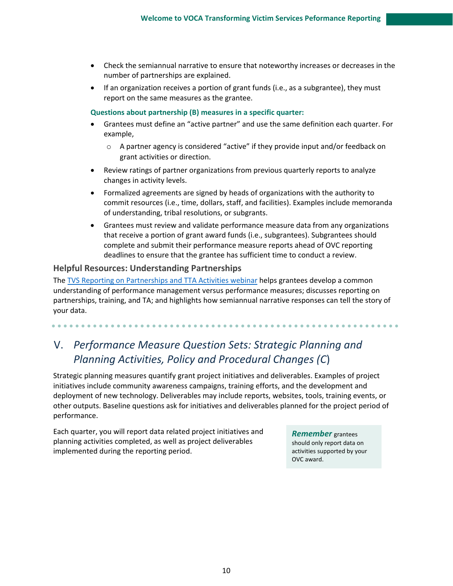- Check the semiannual narrative to ensure that noteworthy increases or decreases in the number of partnerships are explained.
- If an organization receives a portion of grant funds (i.e., as a subgrantee), they must report on the same measures as the grantee.

**Questions about partnership (B) measures in a specific quarter:**

- Grantees must define an "active partner" and use the same definition each quarter. For example,
	- o A partner agency is considered "active" if they provide input and/or feedback on grant activities or direction.
- Review ratings of partner organizations from previous quarterly reports to analyze changes in activity levels.
- Formalized agreements are signed by heads of organizations with the authority to commit resources (i.e., time, dollars, staff, and facilities). Examples include memoranda of understanding, tribal resolutions, or subgrants.
- Grantees must review and validate performance measure data from any organizations that receive a portion of grant award funds (i.e., subgrantees). Subgrantees should complete and submit their performance measure reports ahead of OVC reporting deadlines to ensure that the grantee has sufficient time to conduct a review.

#### **Helpful Resources: Understanding Partnerships**

The TVS [Reporting on Partnerships and TTA](https://ovc.ojp.gov/funding/performance-measures/transforming-victim-services#1qrli) Activities webinar helps grantees develop a common understanding of performance management versus performance measures; discusses reporting on partnerships, training, and TA; and highlights how semiannual narrative responses can tell the story of your data.

# V. *Performance Measure Question Sets: Strategic Planning and Planning Activities, Policy and Procedural Changes (C*)

Strategic planning measures quantify grant project initiatives and deliverables. Examples of project initiatives include community awareness campaigns, training efforts, and the development and deployment of new technology. Deliverables may include reports, websites, tools, training events, or other outputs. Baseline questions ask for initiatives and deliverables planned for the project period of performance.

Each quarter, you will report data related project initiatives and planning activities completed, as well as project deliverables implemented during the reporting period.

*Remember* grantees should only report data on activities supported by your OVC award.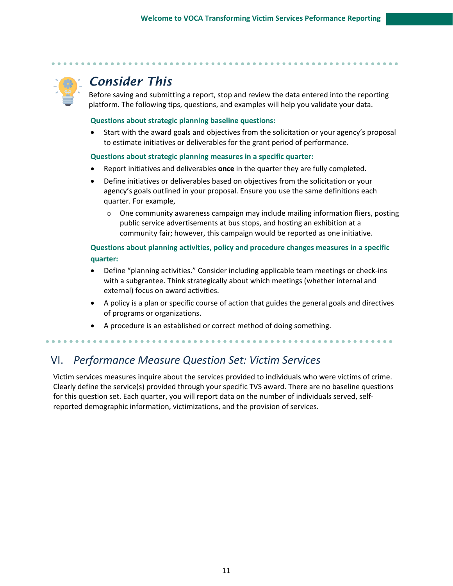

Before saving and submitting a report, stop and review the data entered into the reporting platform. The following tips, questions, and examples will help you validate your data.

#### **Questions about strategic planning baseline questions:**

• Start with the award goals and objectives from the solicitation or your agency's proposal to estimate initiatives or deliverables for the grant period of performance.

#### **Questions about strategic planning measures in a specific quarter:**

- Report initiatives and deliverables **once** in the quarter they are fully completed.
- Define initiatives or deliverables based on objectives from the solicitation or your agency's goals outlined in your proposal. Ensure you use the same definitions each quarter. For example,
	- $\circ$  One community awareness campaign may include mailing information fliers, posting public service advertisements at bus stops, and hosting an exhibition at a community fair; however, this campaign would be reported as one initiative.

#### **Questions about planning activities, policy and procedure changes measures in a specific quarter:**

- Define "planning activities." Consider including applicable team meetings or check-ins with a subgrantee. Think strategically about which meetings (whether internal and external) focus on award activities.
- A policy is a plan or specific course of action that guides the general goals and directives of programs or organizations.
- A procedure is an established or correct method of doing something.

# VI. *Performance Measure Question Set: Victim Services*

Victim services measures inquire about the services provided to individuals who were victims of crime. Clearly define the service(s) provided through your specific TVS award. There are no baseline questions for this question set. Each quarter, you will report data on the number of individuals served, selfreported demographic information, victimizations, and the provision of services.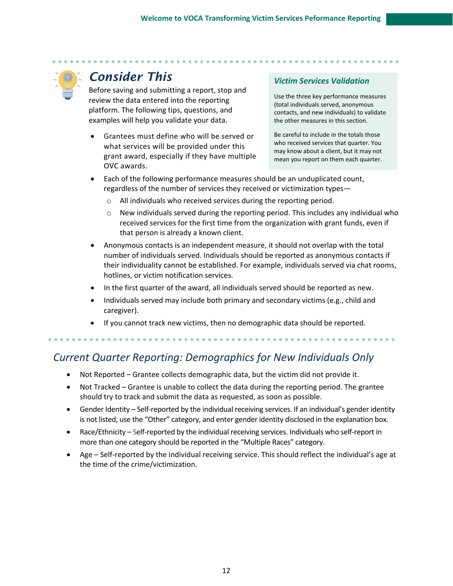

Before saving and submitting a report, stop and review the data entered into the reporting platform. The following tips, questions, and examples will help you validate your data.

• Grantees must define who will be served or what services will be provided under this grant award, especially if they have multiple OVC awards.

### *Victim Services Validation*

Use the three key performance measures (total individuals served, anonymous contacts, and new individuals) to validate the other measures in this section.

Be careful to include in the totals those who received services that quarter. You may know about a client, but it may not mean you report on them each quarter.

- Each of the following performance measures should be an unduplicated count, regardless of the number of services they received or victimization types
	- o All individuals who received services during the reporting period.
	- New individuals served during the reporting period. This includes any individual who received services for the first time from the organization with grant funds, even if that person is already a known client.
- Anonymous contacts is an independent measure, it should not overlap with the total number of individuals served. Individuals should be reported as anonymous contacts if their individuality cannot be established. For example, individuals served via chat rooms, hotlines, or victim notification services.
- In the first quarter of the award, all individuals served should be reported as new.
- Individuals served may include both primary and secondary victims (e.g., child and caregiver).
- If you cannot track new victims, then no demographic data should be reported.

### *Current Quarter Reporting: Demographics for New Individuals Only*

- Not Reported Grantee collects demographic data, but the victim did not provide it.
- Not Tracked Grantee is unable to collect the data during the reporting period. The grantee should try to track and submit the data as requested, as soon as possible.
- Gender Identity Self-reported by the individual receiving services. If an individual's gender identity is not listed, use the "Other" category, and enter gender identity disclosed in the explanation box.
- Race/Ethnicity Self-reported by the individual receiving services. Individuals who self-report in more than one category should be reported in the "Multiple Races" category.
- Age Self-reported by the individual receiving service. This should reflect the individual's age at the time of the crime/victimization.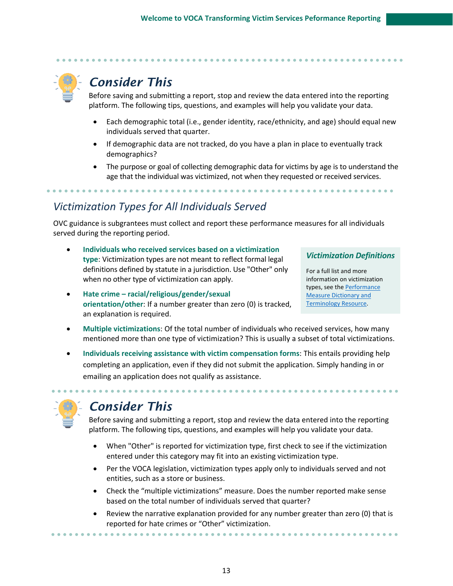Before saving and submitting a report, stop and review the data entered into the reporting platform. The following tips, questions, and examples will help you validate your data.

- Each demographic total (i.e., gender identity, race/ethnicity, and age) should equal new individuals served that quarter.
- If demographic data are not tracked, do you have a plan in place to eventually track demographics?
- The purpose or goal of collecting demographic data for victims by age is to understand the age that the individual was victimized, not when they requested or received services.

### *Victimization Types for All Individuals Served*

OVC guidance is subgrantees must collect and report these performance measures for all individuals served during the reporting period.

- **Individuals who received services based on a victimization type**: Victimization types are not meant to reflect formal legal definitions defined by statute in a jurisdiction. Use "Other" only when no other type of victimization can apply.
- **Hate crime – racial/religious/gender/sexual orientation/other**: If a number greater than zero (0) is tracked, an explanation is required.

#### *Victimization Definitions*

Fo[r a full list and](https://ovc.ojp.gov/sites/g/files/xyckuh226/files/media/document/ovc-performance-measure-dictionary-terminology-resource-winter-2020.pdf) more information on victimization types, see the [Performance](https://ovc.ojp.gov/sites/g/files/xyckuh226/files/media/document/ovc-performance-measure-dictionary-terminology-resource-winter-2020.pdf)  [Measure Dictionary and](https://ovc.ojp.gov/sites/g/files/xyckuh226/files/media/document/ovc-performance-measure-dictionary-terminology-resource-winter-2020.pdf)  [Terminology Resource.](https://ovc.ojp.gov/sites/g/files/xyckuh226/files/media/document/ovc-performance-measure-dictionary-terminology-resource-winter-2020.pdf) 

- **Multiple victimizations**: Of the total number of individuals who received services, how many mentioned more than one type of victimization? This is usually a subset of total victimizations.
- **Individuals receiving assistance with victim compensation forms**: This entails providing help completing an application, even if they did not submit the application. Simply handing in or emailing an application does not qualify as assistance.



# *Consider This*

Before saving and submitting a report, stop and review the data entered into the reporting platform. The following tips, questions, and examples will help you validate your data.

- When "Other" is reported for victimization type, first check to see if the victimization entered under this category may fit into an existing victimization type.
- Per the VOCA legislation, victimization types apply only to individuals served and not entities, such as a store or business.
- Check the "multiple victimizations" measure. Does the number reported make sense based on the total number of individuals served that quarter?
- Review the narrative explanation provided for any number greater than zero (0) that is reported for hate crimes or "Other" victimization.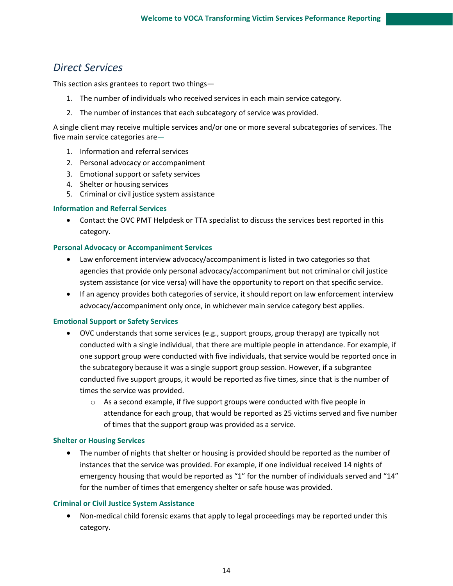### *Direct Services*

This section asks grantees to report two things—

- 1. The number of individuals who received services in each main service category.
- 2. The number of instances that each subcategory of service was provided.

A single client may receive multiple services and/or one or more several subcategories of services. The five main service categories are—

- 1. Information and referral services
- 2. Personal advocacy or accompaniment
- 3. Emotional support or safety services
- 4. Shelter or housing services
- 5. Criminal or civil justice system assistance

#### **Information and Referral Services**

• Contact the OVC PMT Helpdesk or TTA specialist to discuss the services best reported in this category.

#### **Personal Advocacy or Accompaniment Services**

- Law enforcement interview advocacy/accompaniment is listed in two categories so that agencies that provide only personal advocacy/accompaniment but not criminal or civil justice system assistance (or vice versa) will have the opportunity to report on that specific service.
- If an agency provides both categories of service, it should report on law enforcement interview advocacy/accompaniment only once, in whichever main service category best applies.

#### **Emotional Support or Safety Services**

- OVC understands that some services (e.g., support groups, group therapy) are typically not conducted with a single individual, that there are multiple people in attendance. For example, if one support group were conducted with five individuals, that service would be reported once in the subcategory because it was a single support group session. However, if a subgrantee conducted five support groups, it would be reported as five times, since that is the number of times the service was provided.
	- o As a second example, if five support groups were conducted with five people in attendance for each group, that would be reported as 25 victims served and five number of times that the support group was provided as a service.

#### **Shelter or Housing Services**

• The number of nights that shelter or housing is provided should be reported as the number of instances that the service was provided. For example, if one individual received 14 nights of emergency housing that would be reported as "1" for the number of individuals served and "14" for the number of times that emergency shelter or safe house was provided.

#### **Criminal or Civil Justice System Assistance**

• Non-medical child forensic exams that apply to legal proceedings may be reported under this category.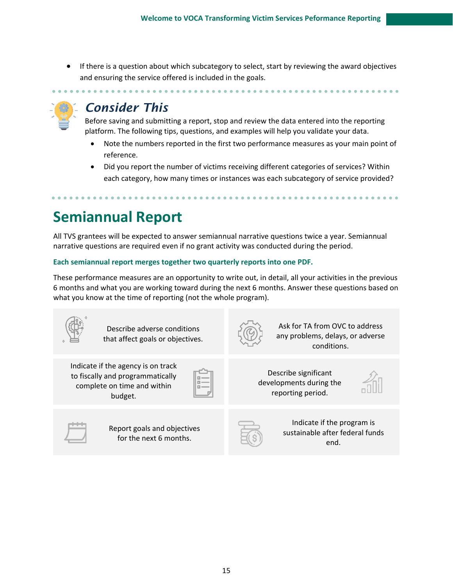• If there is a question about which subcategory to select, start by reviewing the award objectives and ensuring the service offered is included in the goals.



# *Consider This*

Before saving and submitting a report, stop and review the data entered into the reporting platform. The following tips, questions, and examples will help you validate your data.

- Note the numbers reported in the first two performance measures as your main point of reference.
- Did you report the number of victims receiving different categories of services? Within each category, how many times or instances was each subcategory of service provided?

# **Semiannual Report**

All TVS grantees will be expected to answer semiannual narrative questions twice a year. Semiannual narrative questions are required even if no grant activity was conducted during the period.

#### **Each semiannual report merges together two quarterly reports into one PDF.**

These performance measures are an opportunity to write out, in detail, all your activities in the previous 6 months and what you are working toward during the next 6 months. Answer these questions based on what you know at the time of reporting (not the whole program).

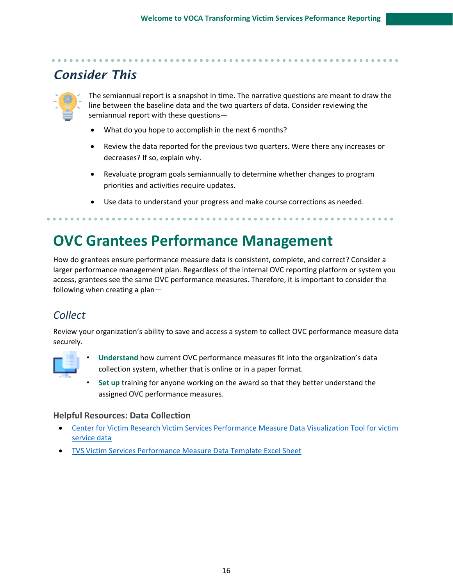

The semiannual report is a snapshot in time. The narrative questions are meant to draw the line between the baseline data and the two quarters of data. Consider reviewing the semiannual report with these questions—

- What do you hope to accomplish in the next 6 months?
- Review the data reported for the previous two quarters. Were there any increases or decreases? If so, explain why.
- Revaluate program goals semiannually to determine whether changes to program priorities and activities require updates.
- Use data to understand your progress and make course corrections as needed.

# **OVC Grantees Performance Management**

How do grantees ensure performance measure data is consistent, complete, and correct? Consider a larger performance management plan. Regardless of the internal OVC reporting platform or system you access, grantees see the same OVC performance measures. Therefore, it is important to consider the following when creating a plan—

# *Collect*

Review your organization's ability to save and access a system to collect OVC performance measure data securely.



- **Understand** how current OVC performance measures fit into the organization's data collection system, whether that is online or in a paper format.
- **Set up** training for anyone working on the award so that they better understand the assigned OVC performance measures.

#### **Helpful Resources: Data Collection**

- [Center for Victim Research Victim Services Performance Measure Data Visualization Tool for victim](https://victimresearch.org/tools-training/collecting-data/)  [service data](https://victimresearch.org/tools-training/collecting-data/)
- [TVS Victim Services Performance Measure Data Template Excel Sheet](http://ovcpmt.ojp.gov/documents/TVS_Victim%20Services_Question%20Bank_DataTemplate.xlsx)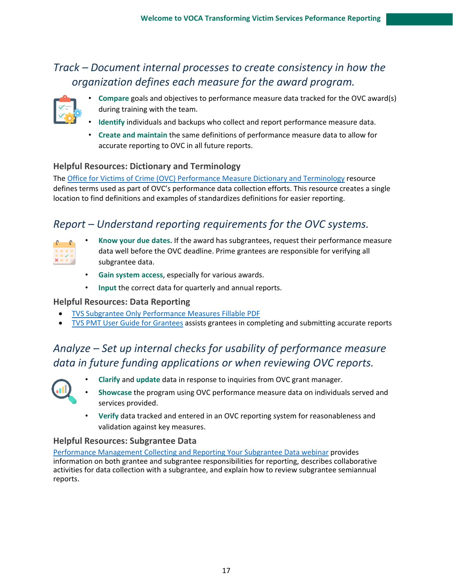### *Track – Document internal processes to create consistency in how the organization defines each measure for the award program.*



- **Compare** goals and objectives to performance measure data tracked for the OVC award(s) during training with the team.
- **Identify** individuals and backups who collect and report performance measure data.
- **Create and maintain** the same definitions of performance measure data to allow for accurate reporting to OVC in all future reports.

### **Helpful Resources: Dictionary and Terminology**

The [Office for Victims of Crime \(OVC\) Performance Measure Dictionary and Terminology](https://ovc.ojp.gov/sites/g/files/xyckuh226/files/media/document/performance-measure-dictionary.pdf) resource defines terms used as part of OVC's performance data collection efforts. This resource creates a single location to find definitions and examples of standardizes definitions for easier reporting.

### *Report – Understand reporting requirements for the OVC systems.*

- **Know your due dates.** If the award has subgrantees, request their performance measure data well before the OVC deadline. Prime grantees are responsible for verifying all subgrantee data.
- **Gain system access**, especially for various awards.
- **Input** the correct data for quarterly and annual reports.

#### **Helpful Resources: Data Reporting**

- [TVS Subgrantee Only Performance Measures Fillable PDF](https://ovcpmt.ojp.gov/documents/TVS%20Questionnaire_Subgrantee%20Only%20Fillable%20PDF.pdf)
- TVS [PMT User Guide for Grantees](https://ovc.ojp.gov/sites/g/files/xyckuh226/files/media/document/tvs-performance-measurement-tool-user-guide.pdf) assists grantees in completing and submitting accurate reports

# *Analyze – Set up internal checks for usability of performance measure data in future funding applications or when reviewing OVC reports.*



- **Clarify** and **update** data in response to inquiries from OVC grant manager.
- **Showcase** the program using OVC performance measure data on individuals served and services provided.
- **Verify** data tracked and entered in an OVC reporting system for reasonableness and validation against key measures.

#### **Helpful Resources: Subgrantee Data**

[Performance Management Collecting and Reporting Your Subgrantee Data webinar](https://ovc.ojp.gov/funding/performance-measures/transforming-victim-services#1qrli) provides information on both grantee and subgrantee responsibilities for reporting, describes collaborative activities for data collection with a subgrantee, and explain how to review subgrantee semiannual reports.